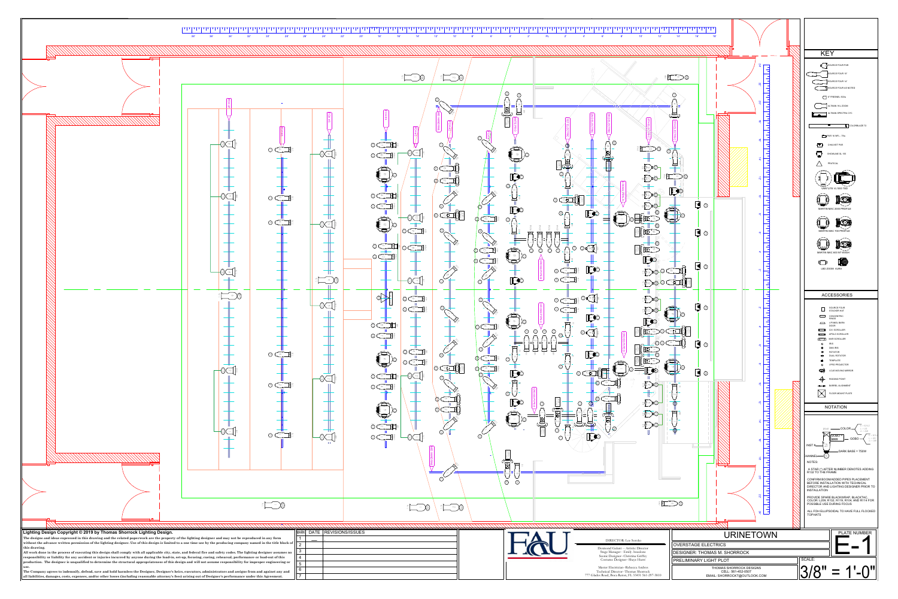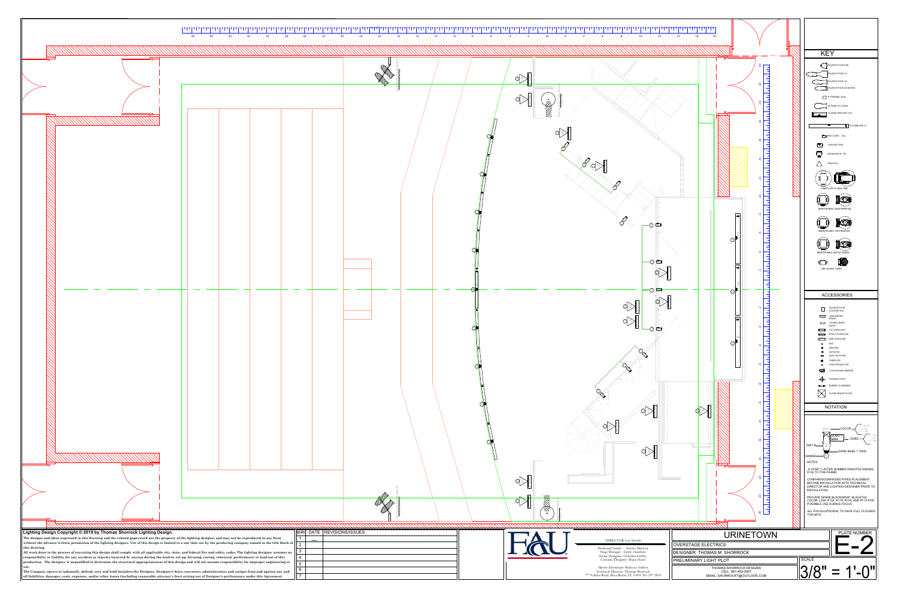